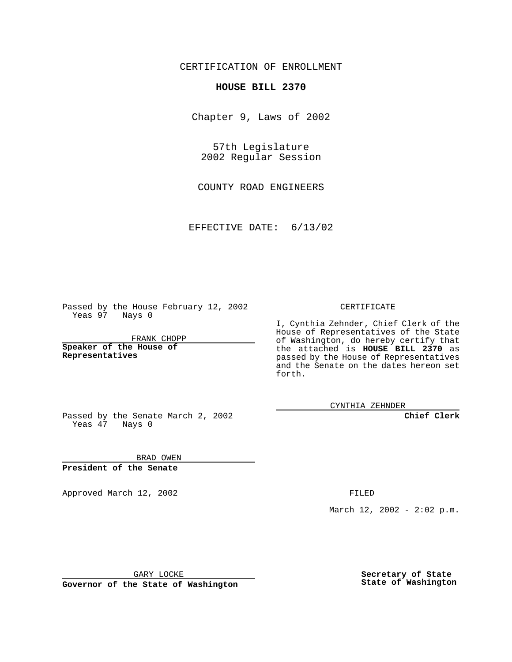CERTIFICATION OF ENROLLMENT

## **HOUSE BILL 2370**

Chapter 9, Laws of 2002

57th Legislature 2002 Regular Session

COUNTY ROAD ENGINEERS

EFFECTIVE DATE: 6/13/02

Passed by the House February 12, 2002 Yeas 97 Nays 0

FRANK CHOPP

**Speaker of the House of Representatives**

CERTIFICATE

I, Cynthia Zehnder, Chief Clerk of the House of Representatives of the State of Washington, do hereby certify that the attached is **HOUSE BILL 2370** as passed by the House of Representatives and the Senate on the dates hereon set forth.

CYNTHIA ZEHNDER

**Chief Clerk**

Passed by the Senate March 2, 2002 Yeas 47 Nays 0

BRAD OWEN **President of the Senate**

Approved March 12, 2002 **FILED** 

March 12, 2002 - 2:02 p.m.

GARY LOCKE

**Governor of the State of Washington**

**Secretary of State State of Washington**